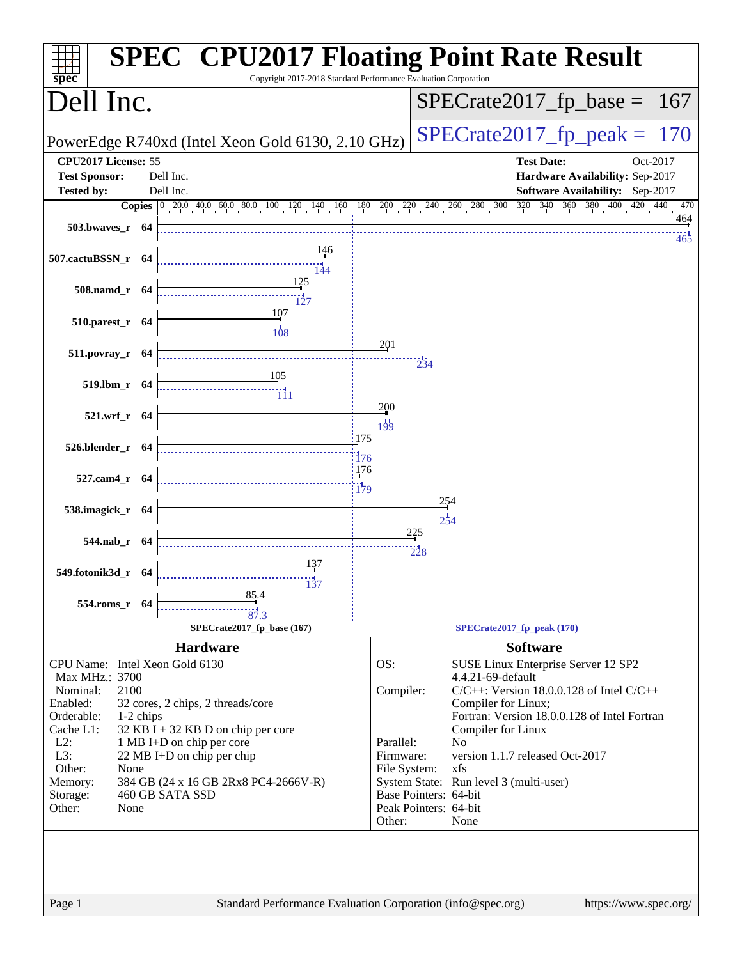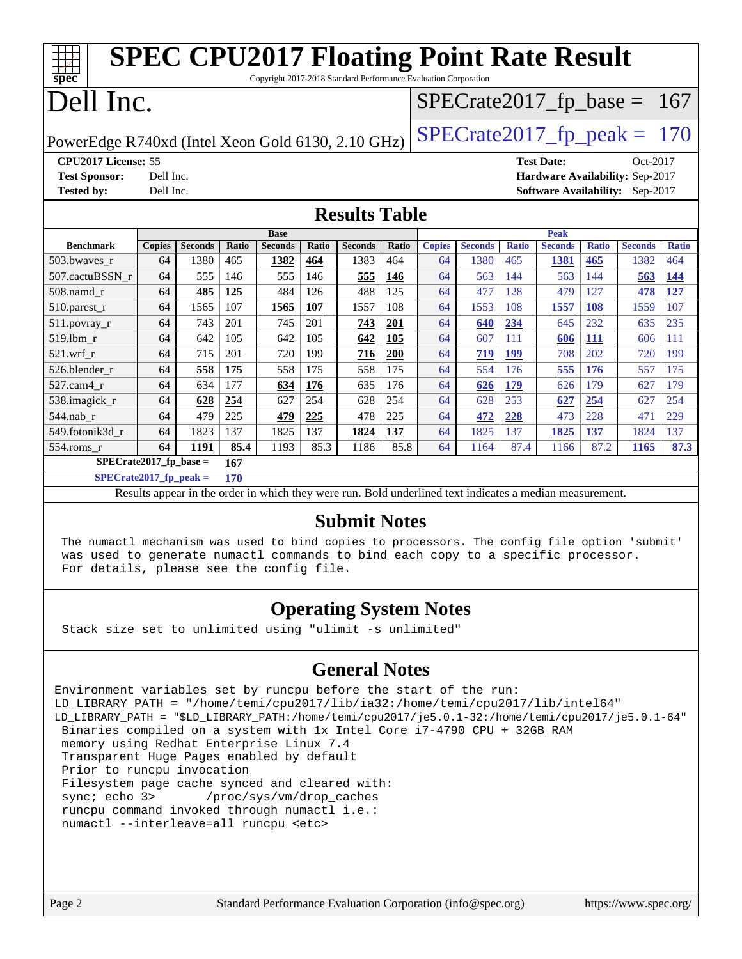| <b>SPEC CPU2017 Floating Point Rate Result</b><br>$spec*$<br>Copyright 2017-2018 Standard Performance Evaluation Corporation |                                  |                |       |                |       |                |            |               |                |              |                                        |              |                |              |
|------------------------------------------------------------------------------------------------------------------------------|----------------------------------|----------------|-------|----------------|-------|----------------|------------|---------------|----------------|--------------|----------------------------------------|--------------|----------------|--------------|
| Dell Inc.<br>$SPECrate2017_fp\_base = 167$                                                                                   |                                  |                |       |                |       |                |            |               |                |              |                                        |              |                |              |
| $SPECTate2017$ _fp_peak = 170<br>PowerEdge R740xd (Intel Xeon Gold 6130, 2.10 GHz)                                           |                                  |                |       |                |       |                |            |               |                |              |                                        |              |                |              |
| CPU2017 License: 55<br><b>Test Date:</b><br>Oct-2017                                                                         |                                  |                |       |                |       |                |            |               |                |              |                                        |              |                |              |
| <b>Test Sponsor:</b>                                                                                                         | Dell Inc.                        |                |       |                |       |                |            |               |                |              | Hardware Availability: Sep-2017        |              |                |              |
| <b>Tested by:</b>                                                                                                            | Dell Inc.                        |                |       |                |       |                |            |               |                |              | <b>Software Availability:</b> Sep-2017 |              |                |              |
| <b>Results Table</b>                                                                                                         |                                  |                |       |                |       |                |            |               |                |              |                                        |              |                |              |
|                                                                                                                              |                                  |                |       | <b>Base</b>    |       |                |            |               |                |              | <b>Peak</b>                            |              |                |              |
| <b>Benchmark</b>                                                                                                             | <b>Copies</b>                    | <b>Seconds</b> | Ratio | <b>Seconds</b> | Ratio | <b>Seconds</b> | Ratio      | <b>Copies</b> | <b>Seconds</b> | <b>Ratio</b> | <b>Seconds</b>                         | <b>Ratio</b> | <b>Seconds</b> | <b>Ratio</b> |
| 503.bwayes r                                                                                                                 | 64                               | 1380           | 465   | 1382           | 464   | 1383           | 464        | 64            | 1380           | 465          | 1381                                   | 465          | 1382           | 464          |
| 507.cactuBSSN r                                                                                                              | 64                               | 555            | 146   | 555            | 146   | 555            | 146        | 64            | 563            | 144          | 563                                    | 144          | 563            | 144          |
| 508.namd_r                                                                                                                   | 64                               | 485            | 125   | 484            | 126   | 488            | 125        | 64            | 477            | 128          | 479                                    | 127          | 478            | <b>127</b>   |
| $510.parest_r$                                                                                                               | 64                               | 1565           | 107   | 1565           | 107   | 1557           | 108        | 64            | 1553           | 108          | 1557                                   | <b>108</b>   | 1559           | 107          |
| 511.povray_r                                                                                                                 | 64                               | 743            | 201   | 745            | 201   | 743            | 201        | 64            | 640            | 234          | 645                                    | 232          | 635            | 235          |
| 519.lbm r                                                                                                                    | 64                               | 642            | 105   | 642            | 105   | 642            | 105        | 64            | 607            | 111          | 606                                    | <b>111</b>   | 606            | 111          |
| $521$ .wrf r                                                                                                                 | 64                               | 715            | 201   | 720            | 199   | 716            | <b>200</b> | 64            | 719            | <b>199</b>   | 708                                    | 202          | 720            | 199          |
| 526.blender r                                                                                                                | 64                               | 558            | 175   | 558            | 175   | 558            | 175        | 64            | 554            | 176          | 555                                    | 176          | 557            | 175          |
| 527.cam4 r                                                                                                                   | 64                               | 634            | 177   | 634            | 176   | 635            | 176        | 64            | 626            | 179          | 626                                    | 179          | 627            | 179          |
| 538.imagick_r                                                                                                                | 64                               | 628            | 254   | 627            | 254   | 628            | 254        | 64            | 628            | 253          | 627                                    | 254          | 627            | 254          |
| 544.nab r                                                                                                                    | 64                               | 479            | 225   | 479            | 225   | 478            | 225        | 64            | 472            | 228          | 473                                    | 228          | 471            | 229          |
| 549.fotonik3d_r                                                                                                              | 64                               | 1823           | 137   | 1825           | 137   | 1824           | 137        | 64            | 1825           | 137          | 1825                                   | 137          | 1824           | 137          |
| 554.roms_r                                                                                                                   | 64                               | 1191           | 85.4  | 1193           | 85.3  | 1186           | 85.8       | 64            | 1164           | 87.4         | 1166                                   | 87.2         | 1165           | 87.3         |
| SPECrate2017 fp base $=$<br>167                                                                                              |                                  |                |       |                |       |                |            |               |                |              |                                        |              |                |              |
|                                                                                                                              | $SPECrate2017_fp\_peak =$<br>170 |                |       |                |       |                |            |               |                |              |                                        |              |                |              |

Results appear in the [order in which they were run.](http://www.spec.org/auto/cpu2017/Docs/result-fields.html#RunOrder) Bold underlined text [indicates a median measurement.](http://www.spec.org/auto/cpu2017/Docs/result-fields.html#Median)

#### **[Submit Notes](http://www.spec.org/auto/cpu2017/Docs/result-fields.html#SubmitNotes)**

 The numactl mechanism was used to bind copies to processors. The config file option 'submit' was used to generate numactl commands to bind each copy to a specific processor. For details, please see the config file.

### **[Operating System Notes](http://www.spec.org/auto/cpu2017/Docs/result-fields.html#OperatingSystemNotes)**

Stack size set to unlimited using "ulimit -s unlimited"

### **[General Notes](http://www.spec.org/auto/cpu2017/Docs/result-fields.html#GeneralNotes)**

Environment variables set by runcpu before the start of the run: LD\_LIBRARY\_PATH = "/home/temi/cpu2017/lib/ia32:/home/temi/cpu2017/lib/intel64" LD\_LIBRARY\_PATH = "\$LD\_LIBRARY\_PATH:/home/temi/cpu2017/je5.0.1-32:/home/temi/cpu2017/je5.0.1-64" Binaries compiled on a system with 1x Intel Core i7-4790 CPU + 32GB RAM memory using Redhat Enterprise Linux 7.4 Transparent Huge Pages enabled by default Prior to runcpu invocation Filesystem page cache synced and cleared with: sync; echo 3> /proc/sys/vm/drop\_caches runcpu command invoked through numactl i.e.: numactl --interleave=all runcpu <etc>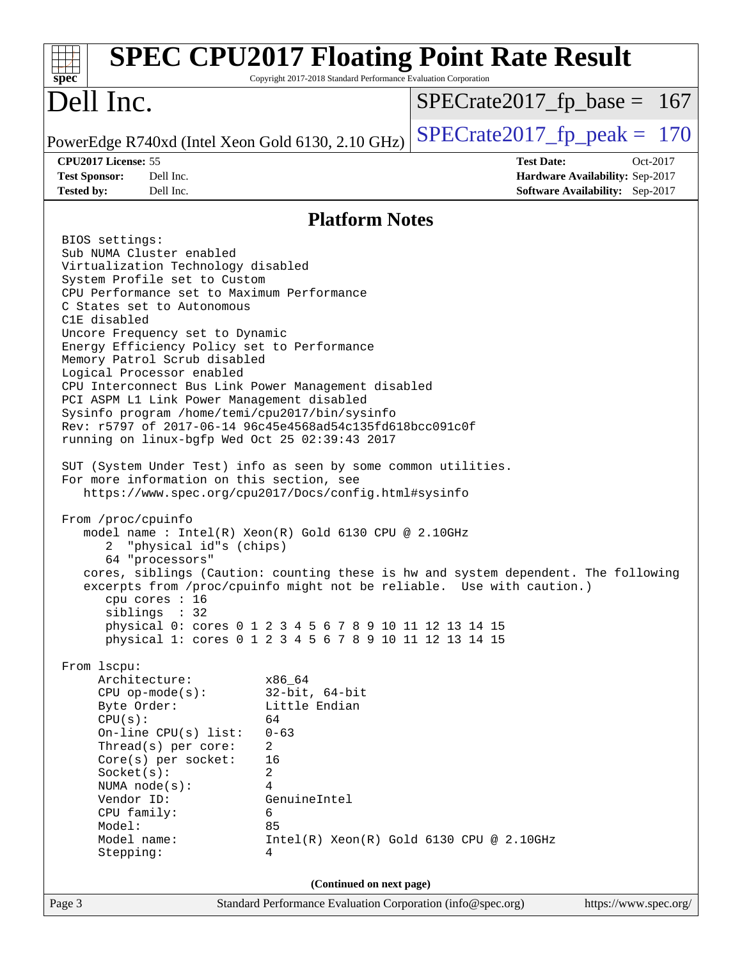| $spec^*$                                                                                                                                                                                                                                                                                                                                                                                                                                                                                                                                                                                                                                                                                                                                                                                                                                                                                                                                                                                                                                                                                                                                                                                                                                                                                                                                                                                                                                                                                                                               | Copyright 2017-2018 Standard Performance Evaluation Corporation                                                                     | <b>SPEC CPU2017 Floating Point Rate Result</b> |                                 |
|----------------------------------------------------------------------------------------------------------------------------------------------------------------------------------------------------------------------------------------------------------------------------------------------------------------------------------------------------------------------------------------------------------------------------------------------------------------------------------------------------------------------------------------------------------------------------------------------------------------------------------------------------------------------------------------------------------------------------------------------------------------------------------------------------------------------------------------------------------------------------------------------------------------------------------------------------------------------------------------------------------------------------------------------------------------------------------------------------------------------------------------------------------------------------------------------------------------------------------------------------------------------------------------------------------------------------------------------------------------------------------------------------------------------------------------------------------------------------------------------------------------------------------------|-------------------------------------------------------------------------------------------------------------------------------------|------------------------------------------------|---------------------------------|
| Dell Inc.                                                                                                                                                                                                                                                                                                                                                                                                                                                                                                                                                                                                                                                                                                                                                                                                                                                                                                                                                                                                                                                                                                                                                                                                                                                                                                                                                                                                                                                                                                                              |                                                                                                                                     | $SPECrate2017_fp\_base = 167$                  |                                 |
| PowerEdge R740xd (Intel Xeon Gold 6130, 2.10 GHz)                                                                                                                                                                                                                                                                                                                                                                                                                                                                                                                                                                                                                                                                                                                                                                                                                                                                                                                                                                                                                                                                                                                                                                                                                                                                                                                                                                                                                                                                                      |                                                                                                                                     | $SPECTate2017$ _fp_peak = 170                  |                                 |
| CPU2017 License: 55                                                                                                                                                                                                                                                                                                                                                                                                                                                                                                                                                                                                                                                                                                                                                                                                                                                                                                                                                                                                                                                                                                                                                                                                                                                                                                                                                                                                                                                                                                                    |                                                                                                                                     | <b>Test Date:</b>                              | Oct-2017                        |
| <b>Test Sponsor:</b><br>Dell Inc.                                                                                                                                                                                                                                                                                                                                                                                                                                                                                                                                                                                                                                                                                                                                                                                                                                                                                                                                                                                                                                                                                                                                                                                                                                                                                                                                                                                                                                                                                                      |                                                                                                                                     |                                                | Hardware Availability: Sep-2017 |
| <b>Tested by:</b><br>Dell Inc.                                                                                                                                                                                                                                                                                                                                                                                                                                                                                                                                                                                                                                                                                                                                                                                                                                                                                                                                                                                                                                                                                                                                                                                                                                                                                                                                                                                                                                                                                                         |                                                                                                                                     |                                                | Software Availability: Sep-2017 |
|                                                                                                                                                                                                                                                                                                                                                                                                                                                                                                                                                                                                                                                                                                                                                                                                                                                                                                                                                                                                                                                                                                                                                                                                                                                                                                                                                                                                                                                                                                                                        | <b>Platform Notes</b>                                                                                                               |                                                |                                 |
| BIOS settings:<br>Sub NUMA Cluster enabled<br>Virtualization Technology disabled<br>System Profile set to Custom<br>CPU Performance set to Maximum Performance<br>C States set to Autonomous<br>C1E disabled<br>Uncore Frequency set to Dynamic<br>Energy Efficiency Policy set to Performance<br>Memory Patrol Scrub disabled<br>Logical Processor enabled<br>CPU Interconnect Bus Link Power Management disabled<br>PCI ASPM L1 Link Power Management disabled<br>Sysinfo program /home/temi/cpu2017/bin/sysinfo<br>Rev: r5797 of 2017-06-14 96c45e4568ad54c135fd618bcc091c0f<br>running on linux-bgfp Wed Oct 25 02:39:43 2017<br>SUT (System Under Test) info as seen by some common utilities.<br>For more information on this section, see<br>https://www.spec.org/cpu2017/Docs/config.html#sysinfo<br>From /proc/cpuinfo<br>model name : Intel(R) Xeon(R) Gold 6130 CPU @ 2.10GHz<br>"physical id"s (chips)<br>2.<br>64 "processors"<br>cores, siblings (Caution: counting these is hw and system dependent. The following<br>excerpts from /proc/cpuinfo might not be reliable. Use with caution.)<br>cpu cores $: 16$<br>siblings : 32<br>physical 0: cores 0 1 2 3 4 5 6 7 8 9 10 11 12 13 14 15<br>physical 1: cores 0 1 2 3 4 5 6 7 8 9 10 11 12 13 14 15<br>From 1scpu:<br>Architecture:<br>$CPU$ op-mode( $s$ ):<br>Byte Order:<br>CPU(s):<br>On-line $CPU(s)$ list:<br>Thread( $s$ ) per core:<br>Core(s) per socket:<br>Socket(s):<br>NUMA node(s):<br>Vendor ID:<br>CPU family:<br>Model:<br>Model name:<br>Stepping: | x86 64<br>$32$ -bit, $64$ -bit<br>Little Endian<br>64<br>$0 - 63$<br>2<br>16<br>$\overline{a}$<br>4<br>GenuineIntel<br>6<br>85<br>4 | $Intel(R) Xeon(R) Gold 6130 CPU @ 2.10GHz$     |                                 |
|                                                                                                                                                                                                                                                                                                                                                                                                                                                                                                                                                                                                                                                                                                                                                                                                                                                                                                                                                                                                                                                                                                                                                                                                                                                                                                                                                                                                                                                                                                                                        | (Continued on next page)                                                                                                            |                                                |                                 |
| Page 3                                                                                                                                                                                                                                                                                                                                                                                                                                                                                                                                                                                                                                                                                                                                                                                                                                                                                                                                                                                                                                                                                                                                                                                                                                                                                                                                                                                                                                                                                                                                 | Standard Performance Evaluation Corporation (info@spec.org)                                                                         |                                                | https://www.spec.org/           |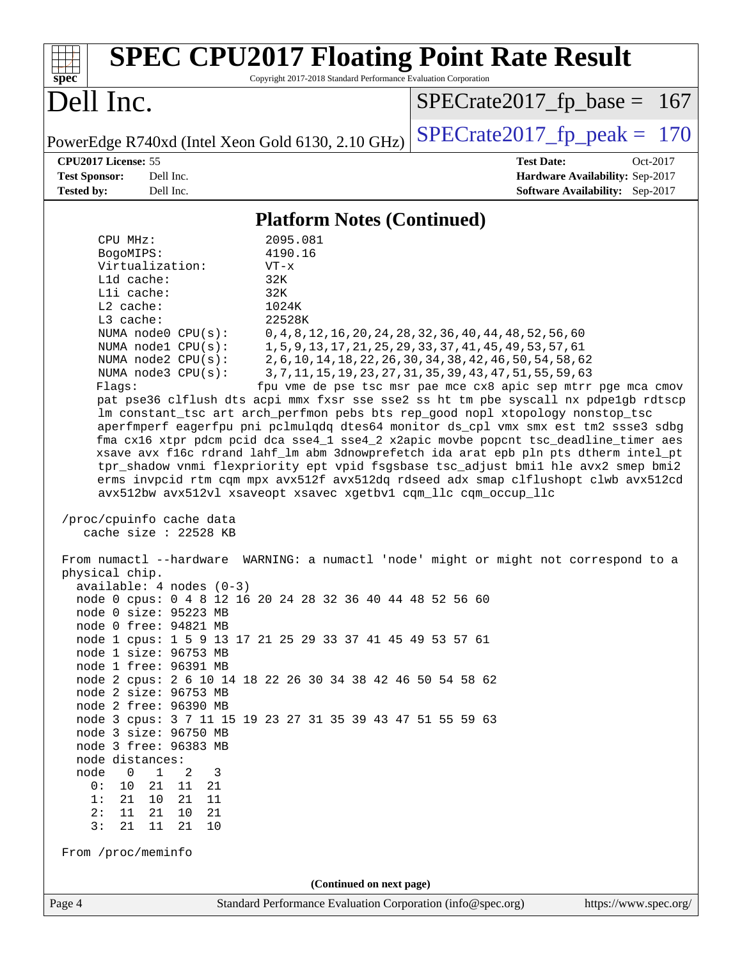| <b>SPEC CPU2017 Floating Point Rate Result</b><br>Copyright 2017-2018 Standard Performance Evaluation Corporation<br>$spec^*$                                                                                                                                                                                                                                                                                                                                                                                                                                                                                                                                                                                                                                                                                                                                                                                                                                                                                                                                                                                                                                                                                                                                                                                                                                                                                                                                                                                                                                                                                                                                                                                                                                                                                                                                              |                                                                                                                                                                                                                                                                                                                             |
|----------------------------------------------------------------------------------------------------------------------------------------------------------------------------------------------------------------------------------------------------------------------------------------------------------------------------------------------------------------------------------------------------------------------------------------------------------------------------------------------------------------------------------------------------------------------------------------------------------------------------------------------------------------------------------------------------------------------------------------------------------------------------------------------------------------------------------------------------------------------------------------------------------------------------------------------------------------------------------------------------------------------------------------------------------------------------------------------------------------------------------------------------------------------------------------------------------------------------------------------------------------------------------------------------------------------------------------------------------------------------------------------------------------------------------------------------------------------------------------------------------------------------------------------------------------------------------------------------------------------------------------------------------------------------------------------------------------------------------------------------------------------------------------------------------------------------------------------------------------------------|-----------------------------------------------------------------------------------------------------------------------------------------------------------------------------------------------------------------------------------------------------------------------------------------------------------------------------|
| Dell Inc.                                                                                                                                                                                                                                                                                                                                                                                                                                                                                                                                                                                                                                                                                                                                                                                                                                                                                                                                                                                                                                                                                                                                                                                                                                                                                                                                                                                                                                                                                                                                                                                                                                                                                                                                                                                                                                                                  | $SPECrate2017_fp\_base = 167$                                                                                                                                                                                                                                                                                               |
| PowerEdge R740xd (Intel Xeon Gold 6130, 2.10 GHz)                                                                                                                                                                                                                                                                                                                                                                                                                                                                                                                                                                                                                                                                                                                                                                                                                                                                                                                                                                                                                                                                                                                                                                                                                                                                                                                                                                                                                                                                                                                                                                                                                                                                                                                                                                                                                          | $SPECrate2017_fp\_peak = 170$                                                                                                                                                                                                                                                                                               |
| CPU2017 License: 55<br><b>Test Sponsor:</b><br>Dell Inc.<br><b>Tested by:</b><br>Dell Inc.                                                                                                                                                                                                                                                                                                                                                                                                                                                                                                                                                                                                                                                                                                                                                                                                                                                                                                                                                                                                                                                                                                                                                                                                                                                                                                                                                                                                                                                                                                                                                                                                                                                                                                                                                                                 | <b>Test Date:</b><br>Oct-2017<br>Hardware Availability: Sep-2017<br>Software Availability: Sep-2017                                                                                                                                                                                                                         |
| <b>Platform Notes (Continued)</b>                                                                                                                                                                                                                                                                                                                                                                                                                                                                                                                                                                                                                                                                                                                                                                                                                                                                                                                                                                                                                                                                                                                                                                                                                                                                                                                                                                                                                                                                                                                                                                                                                                                                                                                                                                                                                                          |                                                                                                                                                                                                                                                                                                                             |
| 2095.081<br>CPU MHz:<br>4190.16<br>BogoMIPS:<br>Virtualization:<br>$VT - x$<br>Lld cache:<br>32K<br>Lli cache:<br>32K<br>L2 cache:<br>1024K<br>22528K<br>L3 cache:<br>NUMA node0 CPU(s):<br>NUMA nodel CPU(s):<br>NUMA node2 CPU(s):<br>NUMA node3 CPU(s):<br>Flags:<br>pat pse36 clflush dts acpi mmx fxsr sse sse2 ss ht tm pbe syscall nx pdpelgb rdtscp<br>lm constant_tsc art arch_perfmon pebs bts rep_good nopl xtopology nonstop_tsc<br>aperfmperf eagerfpu pni pclmulqdq dtes64 monitor ds_cpl vmx smx est tm2 ssse3 sdbg<br>fma cx16 xtpr pdcm pcid dca sse4_1 sse4_2 x2apic movbe popcnt tsc_deadline_timer aes<br>xsave avx f16c rdrand lahf_lm abm 3dnowprefetch ida arat epb pln pts dtherm intel_pt<br>tpr_shadow vnmi flexpriority ept vpid fsgsbase tsc_adjust bmil hle avx2 smep bmi2<br>erms invpcid rtm cqm mpx avx512f avx512dq rdseed adx smap clflushopt clwb avx512cd<br>avx512bw avx512vl xsaveopt xsavec xgetbvl cqm_llc cqm_occup_llc<br>/proc/cpuinfo cache data<br>cache size : 22528 KB<br>From numactl --hardware WARNING: a numactl 'node' might or might not correspond to a<br>physical chip.<br>available: 4 nodes (0-3)<br>node 0 cpus: 0 4 8 12 16 20 24 28 32 36 40 44 48 52 56 60<br>node 0 size: 95223 MB<br>node 0 free: 94821 MB<br>node 1 cpus: 1 5 9 13 17 21 25 29 33 37 41 45 49 53 57 61<br>node 1 size: 96753 MB<br>node 1 free: 96391 MB<br>node 2 cpus: 2 6 10 14 18 22 26 30 34 38 42 46 50 54 58 62<br>node 2 size: 96753 MB<br>node 2 free: 96390 MB<br>node 3 cpus: 3 7 11 15 19 23 27 31 35 39 43 47 51 55 59 63<br>node 3 size: 96750 MB<br>node 3 free: 96383 MB<br>node distances:<br>$\mathbf{1}$<br>node<br>$\overline{0}$<br>2<br>3<br>10<br>21<br>0:<br>11<br>21<br>1:<br>21<br>10<br>21<br>11<br>2:<br>11<br>21<br>10<br>21<br>3:<br>21<br>11<br>21<br>10<br>From /proc/meminfo<br>(Continued on next page) | 0, 4, 8, 12, 16, 20, 24, 28, 32, 36, 40, 44, 48, 52, 56, 60<br>1, 5, 9, 13, 17, 21, 25, 29, 33, 37, 41, 45, 49, 53, 57, 61<br>2, 6, 10, 14, 18, 22, 26, 30, 34, 38, 42, 46, 50, 54, 58, 62<br>3, 7, 11, 15, 19, 23, 27, 31, 35, 39, 43, 47, 51, 55, 59, 63<br>fpu vme de pse tsc msr pae mce cx8 apic sep mtrr pge mca cmov |
| Standard Performance Evaluation Corporation (info@spec.org)<br>Page 4                                                                                                                                                                                                                                                                                                                                                                                                                                                                                                                                                                                                                                                                                                                                                                                                                                                                                                                                                                                                                                                                                                                                                                                                                                                                                                                                                                                                                                                                                                                                                                                                                                                                                                                                                                                                      | https://www.spec.org/                                                                                                                                                                                                                                                                                                       |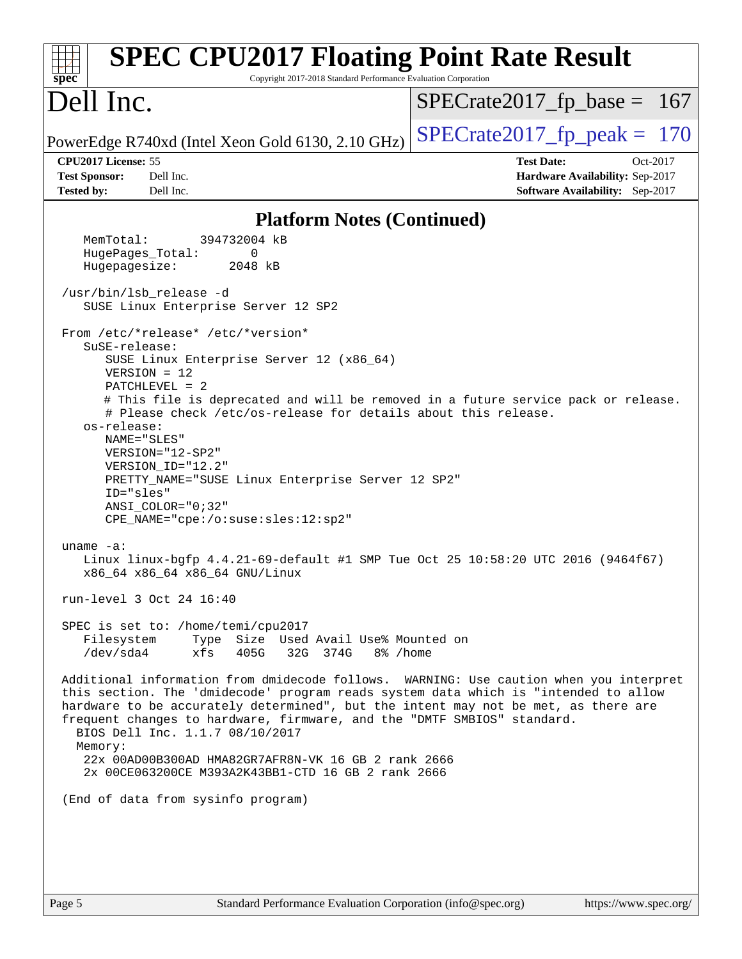| <b>SPEC CPU2017 Floating Point Rate Result</b><br>Copyright 2017-2018 Standard Performance Evaluation Corporation<br>$spec^*$                                                                                                                                                                                                                                                                                                                                                                                                                                                                                                                                                                                                                                                                                                                                                                                                                                                                                                                                                                                                                                                                                                                                                                                                                                                                                                                                                                                                          |                                                                                                            |
|----------------------------------------------------------------------------------------------------------------------------------------------------------------------------------------------------------------------------------------------------------------------------------------------------------------------------------------------------------------------------------------------------------------------------------------------------------------------------------------------------------------------------------------------------------------------------------------------------------------------------------------------------------------------------------------------------------------------------------------------------------------------------------------------------------------------------------------------------------------------------------------------------------------------------------------------------------------------------------------------------------------------------------------------------------------------------------------------------------------------------------------------------------------------------------------------------------------------------------------------------------------------------------------------------------------------------------------------------------------------------------------------------------------------------------------------------------------------------------------------------------------------------------------|------------------------------------------------------------------------------------------------------------|
| Dell Inc.                                                                                                                                                                                                                                                                                                                                                                                                                                                                                                                                                                                                                                                                                                                                                                                                                                                                                                                                                                                                                                                                                                                                                                                                                                                                                                                                                                                                                                                                                                                              | $SPECrate2017_fp\_base = 167$                                                                              |
| PowerEdge R740xd (Intel Xeon Gold 6130, 2.10 GHz)                                                                                                                                                                                                                                                                                                                                                                                                                                                                                                                                                                                                                                                                                                                                                                                                                                                                                                                                                                                                                                                                                                                                                                                                                                                                                                                                                                                                                                                                                      | $SPECTate2017$ _fp_peak = 170                                                                              |
| CPU2017 License: 55<br><b>Test Sponsor:</b><br>Dell Inc.<br><b>Tested by:</b><br>Dell Inc.                                                                                                                                                                                                                                                                                                                                                                                                                                                                                                                                                                                                                                                                                                                                                                                                                                                                                                                                                                                                                                                                                                                                                                                                                                                                                                                                                                                                                                             | <b>Test Date:</b><br>Oct-2017<br>Hardware Availability: Sep-2017<br><b>Software Availability:</b> Sep-2017 |
| <b>Platform Notes (Continued)</b>                                                                                                                                                                                                                                                                                                                                                                                                                                                                                                                                                                                                                                                                                                                                                                                                                                                                                                                                                                                                                                                                                                                                                                                                                                                                                                                                                                                                                                                                                                      |                                                                                                            |
| MemTotal:<br>394732004 kB<br>HugePages_Total:<br>$\Omega$<br>Hugepagesize:<br>2048 kB<br>/usr/bin/lsb release -d<br>SUSE Linux Enterprise Server 12 SP2<br>From /etc/*release* /etc/*version*<br>SuSE-release:<br>SUSE Linux Enterprise Server 12 (x86_64)<br>$VERSION = 12$<br>$PATCHLEVEL = 2$<br># This file is deprecated and will be removed in a future service pack or release.<br># Please check /etc/os-release for details about this release.<br>os-release:<br>NAME="SLES"<br>VERSION="12-SP2"<br>VERSION_ID="12.2"<br>PRETTY_NAME="SUSE Linux Enterprise Server 12 SP2"<br>ID="sles"<br>$ANSI$ _COLOR=" $0:32$ "<br>CPE_NAME="cpe:/o:suse:sles:12:sp2"<br>uname $-a$ :<br>Linux linux-bgfp 4.4.21-69-default #1 SMP Tue Oct 25 10:58:20 UTC 2016 (9464f67)<br>x86_64 x86_64 x86_64 GNU/Linux<br>run-level 3 Oct 24 16:40<br>SPEC is set to: /home/temi/cpu2017<br>Type Size Used Avail Use% Mounted on<br>Filesystem<br>/dev/sda4<br>xfs<br>32G 374G 8% / home<br>405G<br>Additional information from dmidecode follows. WARNING: Use caution when you interpret<br>this section. The 'dmidecode' program reads system data which is "intended to allow<br>hardware to be accurately determined", but the intent may not be met, as there are<br>frequent changes to hardware, firmware, and the "DMTF SMBIOS" standard.<br>BIOS Dell Inc. 1.1.7 08/10/2017<br>Memory:<br>22x 00AD00B300AD HMA82GR7AFR8N-VK 16 GB 2 rank 2666<br>2x 00CE063200CE M393A2K43BB1-CTD 16 GB 2 rank 2666<br>(End of data from sysinfo program) |                                                                                                            |
|                                                                                                                                                                                                                                                                                                                                                                                                                                                                                                                                                                                                                                                                                                                                                                                                                                                                                                                                                                                                                                                                                                                                                                                                                                                                                                                                                                                                                                                                                                                                        |                                                                                                            |
|                                                                                                                                                                                                                                                                                                                                                                                                                                                                                                                                                                                                                                                                                                                                                                                                                                                                                                                                                                                                                                                                                                                                                                                                                                                                                                                                                                                                                                                                                                                                        |                                                                                                            |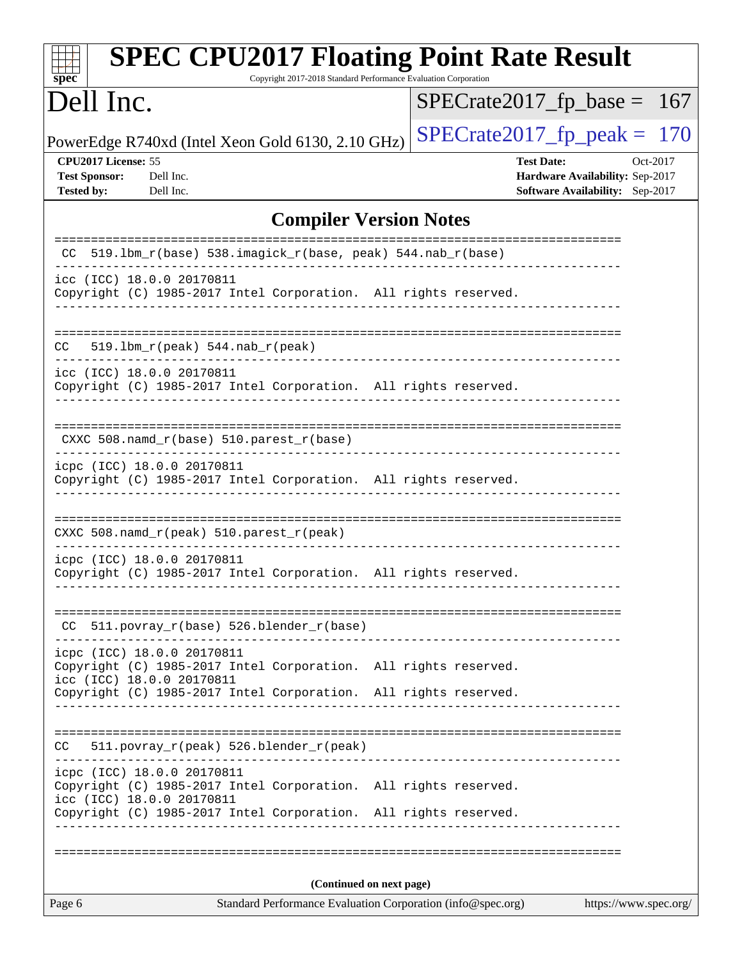| <b>SPEC CPU2017 Floating Point Rate Result</b><br>$spec^*$<br>Copyright 2017-2018 Standard Performance Evaluation Corporation           |                                                                                                            |  |  |  |
|-----------------------------------------------------------------------------------------------------------------------------------------|------------------------------------------------------------------------------------------------------------|--|--|--|
| Dell Inc.                                                                                                                               | $SPECrate2017_fp\_base =$<br>-167                                                                          |  |  |  |
| PowerEdge R740xd (Intel Xeon Gold 6130, 2.10 GHz)                                                                                       | $SPECTate2017$ _fp_peak = 170                                                                              |  |  |  |
| CPU2017 License: 55<br><b>Test Sponsor:</b><br>Dell Inc.<br><b>Tested by:</b><br>Dell Inc.                                              | <b>Test Date:</b><br>Oct-2017<br>Hardware Availability: Sep-2017<br><b>Software Availability:</b> Sep-2017 |  |  |  |
| <b>Compiler Version Notes</b>                                                                                                           |                                                                                                            |  |  |  |
| CC 519.1bm_r(base) 538.imagick_r(base, peak) 544.nab_r(base)                                                                            | =====================                                                                                      |  |  |  |
| icc (ICC) 18.0.0 20170811<br>Copyright (C) 1985-2017 Intel Corporation. All rights reserved.                                            |                                                                                                            |  |  |  |
| CC<br>$519.1bm_r(peak) 544.nab_r(peak)$                                                                                                 |                                                                                                            |  |  |  |
| icc (ICC) 18.0.0 20170811<br>Copyright (C) 1985-2017 Intel Corporation. All rights reserved.                                            |                                                                                                            |  |  |  |
| CXXC 508.namd_r(base) 510.parest_r(base)<br>--------------------                                                                        |                                                                                                            |  |  |  |
| icpc (ICC) 18.0.0 20170811<br>Copyright (C) 1985-2017 Intel Corporation. All rights reserved.                                           |                                                                                                            |  |  |  |
| CXXC 508.namd_r(peak) 510.parest_r(peak)                                                                                                |                                                                                                            |  |  |  |
| icpc (ICC) 18.0.0 20170811<br>Copyright (C) 1985-2017 Intel Corporation. All rights reserved.<br>-------------------------------------- |                                                                                                            |  |  |  |
| 511.povray_r(base) 526.blender_r(base)<br>CC.                                                                                           |                                                                                                            |  |  |  |
| icpc (ICC) 18.0.0 20170811<br>Copyright (C) 1985-2017 Intel Corporation. All rights reserved.<br>icc (ICC) 18.0.0 20170811              |                                                                                                            |  |  |  |
| Copyright (C) 1985-2017 Intel Corporation. All rights reserved.                                                                         |                                                                                                            |  |  |  |
| 511.povray_r(peak) 526.blender_r(peak)<br>CC                                                                                            |                                                                                                            |  |  |  |
| icpc (ICC) 18.0.0 20170811<br>Copyright (C) 1985-2017 Intel Corporation. All rights reserved.<br>icc (ICC) 18.0.0 20170811              |                                                                                                            |  |  |  |
| Copyright (C) 1985-2017 Intel Corporation. All rights reserved.                                                                         |                                                                                                            |  |  |  |
|                                                                                                                                         |                                                                                                            |  |  |  |
| (Continued on next page)                                                                                                                |                                                                                                            |  |  |  |
| Standard Performance Evaluation Corporation (info@spec.org)<br>Page 6                                                                   | https://www.spec.org/                                                                                      |  |  |  |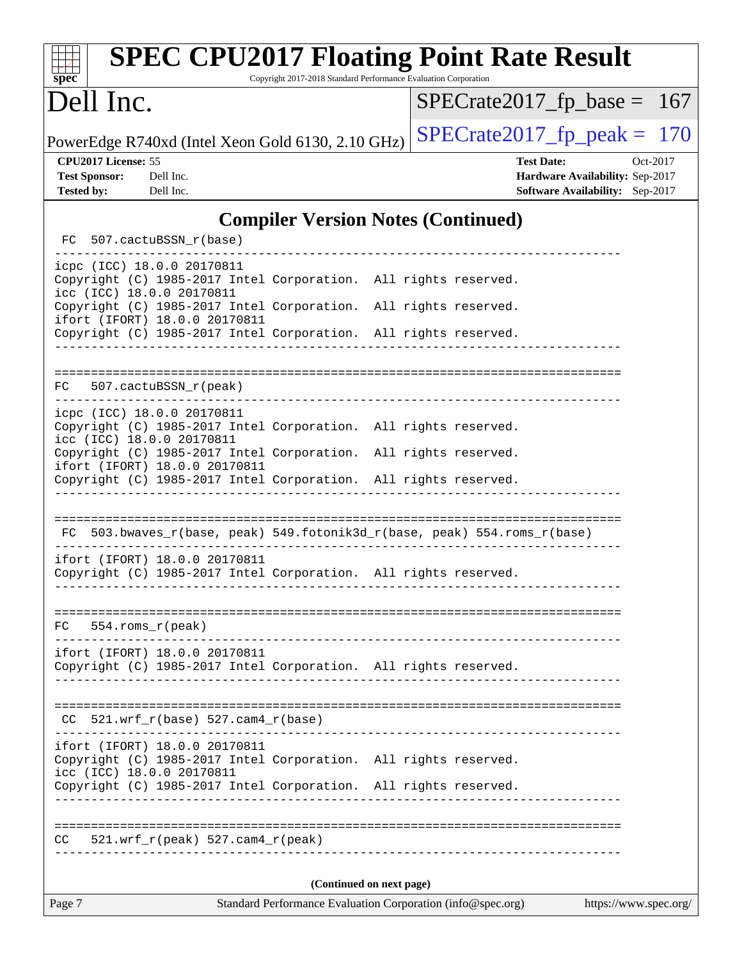| <b>SPEC CPU2017 Floating Point Rate Result</b><br>Copyright 2017-2018 Standard Performance Evaluation Corporation<br>spec <sup>®</sup>                                                           |                                                                                                     |  |  |  |
|--------------------------------------------------------------------------------------------------------------------------------------------------------------------------------------------------|-----------------------------------------------------------------------------------------------------|--|--|--|
| Dell Inc.                                                                                                                                                                                        | $SPECrate2017_fp\_base = 167$                                                                       |  |  |  |
| PowerEdge R740xd (Intel Xeon Gold 6130, 2.10 GHz)                                                                                                                                                | $SPECrate2017_fp\_peak = 170$                                                                       |  |  |  |
| CPU2017 License: 55<br><b>Test Sponsor:</b><br>Dell Inc.<br><b>Tested by:</b><br>Dell Inc.                                                                                                       | <b>Test Date:</b><br>Oct-2017<br>Hardware Availability: Sep-2017<br>Software Availability: Sep-2017 |  |  |  |
| <b>Compiler Version Notes (Continued)</b>                                                                                                                                                        |                                                                                                     |  |  |  |
| FC 507.cactuBSSN_r(base)                                                                                                                                                                         |                                                                                                     |  |  |  |
| icpc (ICC) 18.0.0 20170811<br>Copyright (C) 1985-2017 Intel Corporation. All rights reserved.<br>icc (ICC) 18.0.0 20170811                                                                       |                                                                                                     |  |  |  |
| Copyright (C) 1985-2017 Intel Corporation. All rights reserved.<br>ifort (IFORT) 18.0.0 20170811                                                                                                 |                                                                                                     |  |  |  |
| Copyright (C) 1985-2017 Intel Corporation. All rights reserved.                                                                                                                                  |                                                                                                     |  |  |  |
| 507.cactuBSSN_r(peak)<br>FC.                                                                                                                                                                     |                                                                                                     |  |  |  |
| icpc (ICC) 18.0.0 20170811<br>Copyright (C) 1985-2017 Intel Corporation. All rights reserved.<br>icc (ICC) 18.0.0 20170811<br>Copyright (C) 1985-2017 Intel Corporation. All rights reserved.    |                                                                                                     |  |  |  |
| ifort (IFORT) 18.0.0 20170811<br>Copyright (C) 1985-2017 Intel Corporation. All rights reserved.                                                                                                 |                                                                                                     |  |  |  |
|                                                                                                                                                                                                  |                                                                                                     |  |  |  |
| FC 503.bwaves_r(base, peak) 549.fotonik3d_r(base, peak) 554.roms_r(base)                                                                                                                         |                                                                                                     |  |  |  |
| ifort (IFORT) 18.0.0 20170811<br>Copyright (C) 1985-2017 Intel Corporation. All rights reserved.                                                                                                 |                                                                                                     |  |  |  |
| 554.roms_r(peak)<br>FC.                                                                                                                                                                          |                                                                                                     |  |  |  |
| ifort (IFORT) 18.0.0 20170811<br>Copyright (C) 1985-2017 Intel Corporation. All rights reserved.                                                                                                 |                                                                                                     |  |  |  |
| $521.wrf_r(base) 527.cam4_r(base)$<br>CC.                                                                                                                                                        |                                                                                                     |  |  |  |
| ifort (IFORT) 18.0.0 20170811<br>Copyright (C) 1985-2017 Intel Corporation. All rights reserved.<br>icc (ICC) 18.0.0 20170811<br>Copyright (C) 1985-2017 Intel Corporation. All rights reserved. |                                                                                                     |  |  |  |
| 521.wrf_r(peak) 527.cam4_r(peak)<br>CC.                                                                                                                                                          |                                                                                                     |  |  |  |
| (Continued on next page)                                                                                                                                                                         |                                                                                                     |  |  |  |
| Page 7<br>Standard Performance Evaluation Corporation (info@spec.org)                                                                                                                            | https://www.spec.org/                                                                               |  |  |  |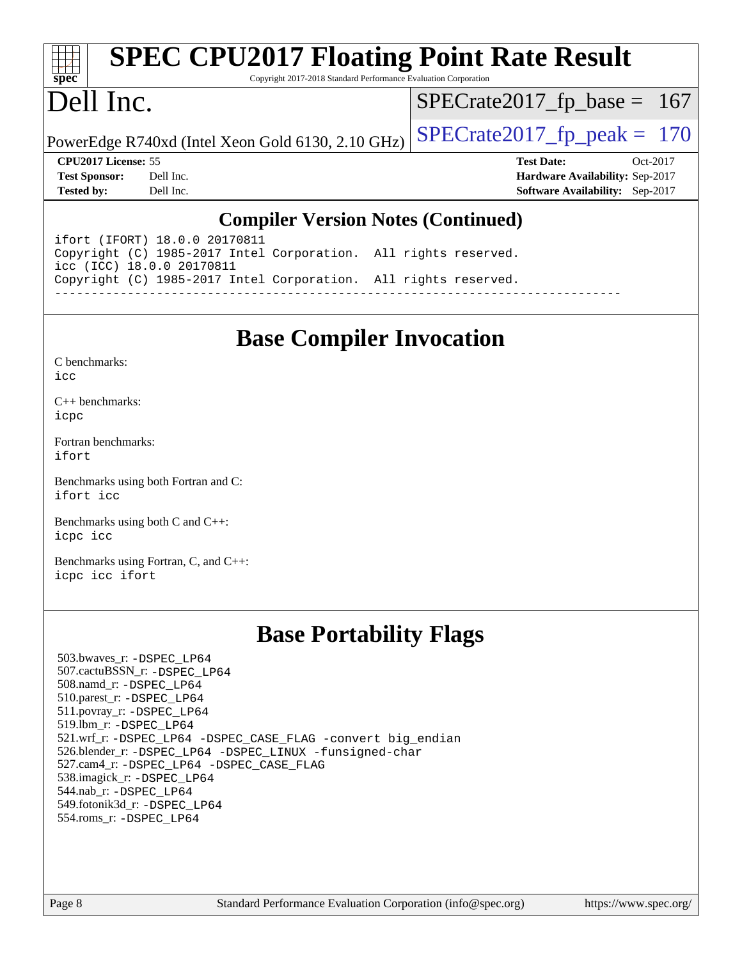#### **[spec](http://www.spec.org/) [SPEC CPU2017 Floating Point Rate Result](http://www.spec.org/auto/cpu2017/Docs/result-fields.html#SPECCPU2017FloatingPointRateResult)** Copyright 2017-2018 Standard Performance Evaluation Corporation Dell Inc. PowerEdge R740xd (Intel Xeon Gold 6130, 2.10 GHz)  $\left|$  [SPECrate2017\\_fp\\_peak =](http://www.spec.org/auto/cpu2017/Docs/result-fields.html#SPECrate2017fppeak) 170 [SPECrate2017\\_fp\\_base =](http://www.spec.org/auto/cpu2017/Docs/result-fields.html#SPECrate2017fpbase) 167 **[CPU2017 License:](http://www.spec.org/auto/cpu2017/Docs/result-fields.html#CPU2017License)** 55 **[Test Date:](http://www.spec.org/auto/cpu2017/Docs/result-fields.html#TestDate)** Oct-2017 **[Test Sponsor:](http://www.spec.org/auto/cpu2017/Docs/result-fields.html#TestSponsor)** Dell Inc. **[Hardware Availability:](http://www.spec.org/auto/cpu2017/Docs/result-fields.html#HardwareAvailability)** Sep-2017 **[Tested by:](http://www.spec.org/auto/cpu2017/Docs/result-fields.html#Testedby)** Dell Inc. **[Software Availability:](http://www.spec.org/auto/cpu2017/Docs/result-fields.html#SoftwareAvailability)** Sep-2017

#### **[Compiler Version Notes \(Continued\)](http://www.spec.org/auto/cpu2017/Docs/result-fields.html#CompilerVersionNotes)**

ifort (IFORT) 18.0.0 20170811 Copyright (C) 1985-2017 Intel Corporation. All rights reserved. icc (ICC) 18.0.0 20170811 Copyright (C) 1985-2017 Intel Corporation. All rights reserved. ------------------------------------------------------------------------------

## **[Base Compiler Invocation](http://www.spec.org/auto/cpu2017/Docs/result-fields.html#BaseCompilerInvocation)**

[C++ benchmarks:](http://www.spec.org/auto/cpu2017/Docs/result-fields.html#CXXbenchmarks) [icpc](http://www.spec.org/cpu2017/results/res2017q4/cpu2017-20171208-01422.flags.html#user_CXXbase_intel_icpc_18.0_c510b6838c7f56d33e37e94d029a35b4a7bccf4766a728ee175e80a419847e808290a9b78be685c44ab727ea267ec2f070ec5dc83b407c0218cded6866a35d07)

[Fortran benchmarks](http://www.spec.org/auto/cpu2017/Docs/result-fields.html#Fortranbenchmarks): [ifort](http://www.spec.org/cpu2017/results/res2017q4/cpu2017-20171208-01422.flags.html#user_FCbase_intel_ifort_18.0_8111460550e3ca792625aed983ce982f94888b8b503583aa7ba2b8303487b4d8a21a13e7191a45c5fd58ff318f48f9492884d4413fa793fd88dd292cad7027ca)

[Benchmarks using both Fortran and C](http://www.spec.org/auto/cpu2017/Docs/result-fields.html#BenchmarksusingbothFortranandC): [ifort](http://www.spec.org/cpu2017/results/res2017q4/cpu2017-20171208-01422.flags.html#user_CC_FCbase_intel_ifort_18.0_8111460550e3ca792625aed983ce982f94888b8b503583aa7ba2b8303487b4d8a21a13e7191a45c5fd58ff318f48f9492884d4413fa793fd88dd292cad7027ca) [icc](http://www.spec.org/cpu2017/results/res2017q4/cpu2017-20171208-01422.flags.html#user_CC_FCbase_intel_icc_18.0_66fc1ee009f7361af1fbd72ca7dcefbb700085f36577c54f309893dd4ec40d12360134090235512931783d35fd58c0460139e722d5067c5574d8eaf2b3e37e92)

[Benchmarks using both C and C++](http://www.spec.org/auto/cpu2017/Docs/result-fields.html#BenchmarksusingbothCandCXX): [icpc](http://www.spec.org/cpu2017/results/res2017q4/cpu2017-20171208-01422.flags.html#user_CC_CXXbase_intel_icpc_18.0_c510b6838c7f56d33e37e94d029a35b4a7bccf4766a728ee175e80a419847e808290a9b78be685c44ab727ea267ec2f070ec5dc83b407c0218cded6866a35d07) [icc](http://www.spec.org/cpu2017/results/res2017q4/cpu2017-20171208-01422.flags.html#user_CC_CXXbase_intel_icc_18.0_66fc1ee009f7361af1fbd72ca7dcefbb700085f36577c54f309893dd4ec40d12360134090235512931783d35fd58c0460139e722d5067c5574d8eaf2b3e37e92)

[Benchmarks using Fortran, C, and C++:](http://www.spec.org/auto/cpu2017/Docs/result-fields.html#BenchmarksusingFortranCandCXX) [icpc](http://www.spec.org/cpu2017/results/res2017q4/cpu2017-20171208-01422.flags.html#user_CC_CXX_FCbase_intel_icpc_18.0_c510b6838c7f56d33e37e94d029a35b4a7bccf4766a728ee175e80a419847e808290a9b78be685c44ab727ea267ec2f070ec5dc83b407c0218cded6866a35d07) [icc](http://www.spec.org/cpu2017/results/res2017q4/cpu2017-20171208-01422.flags.html#user_CC_CXX_FCbase_intel_icc_18.0_66fc1ee009f7361af1fbd72ca7dcefbb700085f36577c54f309893dd4ec40d12360134090235512931783d35fd58c0460139e722d5067c5574d8eaf2b3e37e92) [ifort](http://www.spec.org/cpu2017/results/res2017q4/cpu2017-20171208-01422.flags.html#user_CC_CXX_FCbase_intel_ifort_18.0_8111460550e3ca792625aed983ce982f94888b8b503583aa7ba2b8303487b4d8a21a13e7191a45c5fd58ff318f48f9492884d4413fa793fd88dd292cad7027ca)

## **[Base Portability Flags](http://www.spec.org/auto/cpu2017/Docs/result-fields.html#BasePortabilityFlags)**

 503.bwaves\_r: [-DSPEC\\_LP64](http://www.spec.org/cpu2017/results/res2017q4/cpu2017-20171208-01422.flags.html#suite_basePORTABILITY503_bwaves_r_DSPEC_LP64) 507.cactuBSSN\_r: [-DSPEC\\_LP64](http://www.spec.org/cpu2017/results/res2017q4/cpu2017-20171208-01422.flags.html#suite_basePORTABILITY507_cactuBSSN_r_DSPEC_LP64) 508.namd\_r: [-DSPEC\\_LP64](http://www.spec.org/cpu2017/results/res2017q4/cpu2017-20171208-01422.flags.html#suite_basePORTABILITY508_namd_r_DSPEC_LP64) 510.parest\_r: [-DSPEC\\_LP64](http://www.spec.org/cpu2017/results/res2017q4/cpu2017-20171208-01422.flags.html#suite_basePORTABILITY510_parest_r_DSPEC_LP64) 511.povray\_r: [-DSPEC\\_LP64](http://www.spec.org/cpu2017/results/res2017q4/cpu2017-20171208-01422.flags.html#suite_basePORTABILITY511_povray_r_DSPEC_LP64) 519.lbm\_r: [-DSPEC\\_LP64](http://www.spec.org/cpu2017/results/res2017q4/cpu2017-20171208-01422.flags.html#suite_basePORTABILITY519_lbm_r_DSPEC_LP64) 521.wrf\_r: [-DSPEC\\_LP64](http://www.spec.org/cpu2017/results/res2017q4/cpu2017-20171208-01422.flags.html#suite_basePORTABILITY521_wrf_r_DSPEC_LP64) [-DSPEC\\_CASE\\_FLAG](http://www.spec.org/cpu2017/results/res2017q4/cpu2017-20171208-01422.flags.html#b521.wrf_r_baseCPORTABILITY_DSPEC_CASE_FLAG) [-convert big\\_endian](http://www.spec.org/cpu2017/results/res2017q4/cpu2017-20171208-01422.flags.html#user_baseFPORTABILITY521_wrf_r_convert_big_endian_c3194028bc08c63ac5d04de18c48ce6d347e4e562e8892b8bdbdc0214820426deb8554edfa529a3fb25a586e65a3d812c835984020483e7e73212c4d31a38223) 526.blender\_r: [-DSPEC\\_LP64](http://www.spec.org/cpu2017/results/res2017q4/cpu2017-20171208-01422.flags.html#suite_basePORTABILITY526_blender_r_DSPEC_LP64) [-DSPEC\\_LINUX](http://www.spec.org/cpu2017/results/res2017q4/cpu2017-20171208-01422.flags.html#b526.blender_r_baseCPORTABILITY_DSPEC_LINUX) [-funsigned-char](http://www.spec.org/cpu2017/results/res2017q4/cpu2017-20171208-01422.flags.html#user_baseCPORTABILITY526_blender_r_force_uchar_40c60f00ab013830e2dd6774aeded3ff59883ba5a1fc5fc14077f794d777847726e2a5858cbc7672e36e1b067e7e5c1d9a74f7176df07886a243d7cc18edfe67) 527.cam4\_r: [-DSPEC\\_LP64](http://www.spec.org/cpu2017/results/res2017q4/cpu2017-20171208-01422.flags.html#suite_basePORTABILITY527_cam4_r_DSPEC_LP64) [-DSPEC\\_CASE\\_FLAG](http://www.spec.org/cpu2017/results/res2017q4/cpu2017-20171208-01422.flags.html#b527.cam4_r_baseCPORTABILITY_DSPEC_CASE_FLAG) 538.imagick\_r: [-DSPEC\\_LP64](http://www.spec.org/cpu2017/results/res2017q4/cpu2017-20171208-01422.flags.html#suite_basePORTABILITY538_imagick_r_DSPEC_LP64) 544.nab\_r: [-DSPEC\\_LP64](http://www.spec.org/cpu2017/results/res2017q4/cpu2017-20171208-01422.flags.html#suite_basePORTABILITY544_nab_r_DSPEC_LP64) 549.fotonik3d\_r: [-DSPEC\\_LP64](http://www.spec.org/cpu2017/results/res2017q4/cpu2017-20171208-01422.flags.html#suite_basePORTABILITY549_fotonik3d_r_DSPEC_LP64) 554.roms\_r: [-DSPEC\\_LP64](http://www.spec.org/cpu2017/results/res2017q4/cpu2017-20171208-01422.flags.html#suite_basePORTABILITY554_roms_r_DSPEC_LP64)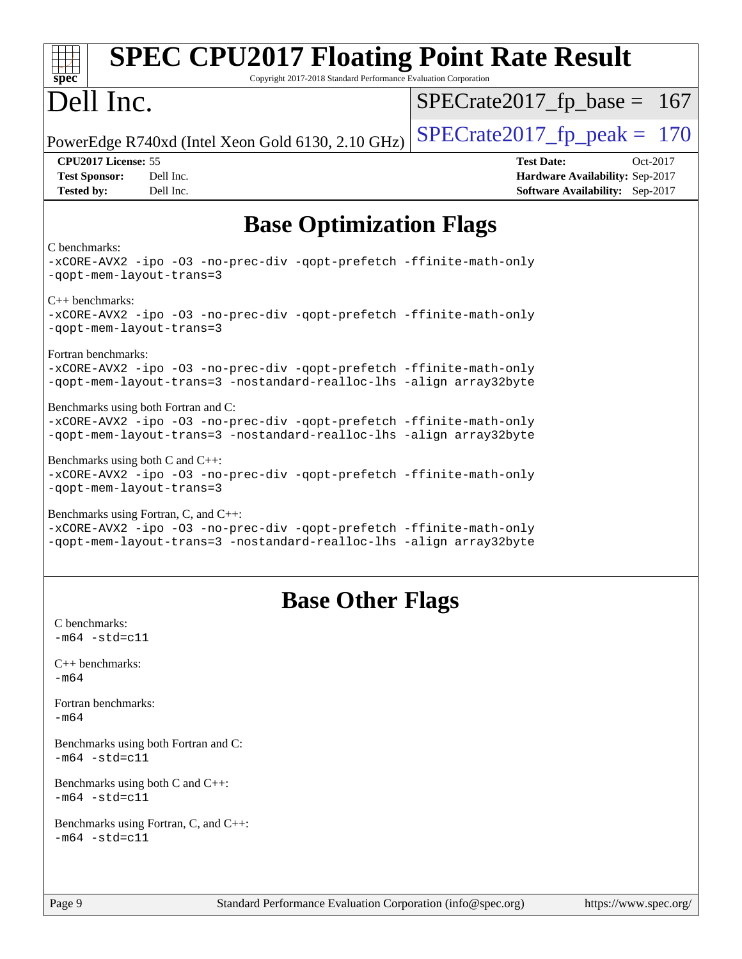| <b>SPEC CPU2017 Floating Point Rate Result</b><br>Copyright 2017-2018 Standard Performance Evaluation Corporation<br>spec <sup>®</sup>                                              |                                                                                                     |  |  |  |
|-------------------------------------------------------------------------------------------------------------------------------------------------------------------------------------|-----------------------------------------------------------------------------------------------------|--|--|--|
| Dell Inc.                                                                                                                                                                           | $SPECrate2017_fp\_base = 167$                                                                       |  |  |  |
| PowerEdge R740xd (Intel Xeon Gold 6130, 2.10 GHz)                                                                                                                                   | $SPECTate2017$ _fp_peak = 170                                                                       |  |  |  |
| CPU2017 License: 55<br><b>Test Sponsor:</b><br>Dell Inc.<br>Dell Inc.<br><b>Tested by:</b>                                                                                          | <b>Test Date:</b><br>Oct-2017<br>Hardware Availability: Sep-2017<br>Software Availability: Sep-2017 |  |  |  |
| <b>Base Optimization Flags</b>                                                                                                                                                      |                                                                                                     |  |  |  |
| C benchmarks:<br>-xCORE-AVX2 -ipo -03 -no-prec-div -qopt-prefetch -ffinite-math-only<br>-qopt-mem-layout-trans=3                                                                    |                                                                                                     |  |  |  |
| $C_{++}$ benchmarks:<br>-xCORE-AVX2 -ipo -03 -no-prec-div -qopt-prefetch -ffinite-math-only<br>-qopt-mem-layout-trans=3                                                             |                                                                                                     |  |  |  |
| Fortran benchmarks:<br>-xCORE-AVX2 -ipo -03 -no-prec-div -qopt-prefetch -ffinite-math-only<br>-qopt-mem-layout-trans=3 -nostandard-realloc-lhs -align array32byte                   |                                                                                                     |  |  |  |
| Benchmarks using both Fortran and C:<br>-xCORE-AVX2 -ipo -03 -no-prec-div -qopt-prefetch -ffinite-math-only<br>-qopt-mem-layout-trans=3 -nostandard-realloc-lhs -align array32byte  |                                                                                                     |  |  |  |
| Benchmarks using both C and C++:<br>-xCORE-AVX2 -ipo -03 -no-prec-div -qopt-prefetch -ffinite-math-only<br>-gopt-mem-layout-trans=3                                                 |                                                                                                     |  |  |  |
| Benchmarks using Fortran, C, and C++:<br>-xCORE-AVX2 -ipo -03 -no-prec-div -qopt-prefetch -ffinite-math-only<br>-qopt-mem-layout-trans=3 -nostandard-realloc-lhs -align array32byte |                                                                                                     |  |  |  |
| <b>Base Other Flags</b>                                                                                                                                                             |                                                                                                     |  |  |  |
| C benchmarks:<br>$-m64 - std= c11$                                                                                                                                                  |                                                                                                     |  |  |  |
| $C++$ benchmarks:<br>$-m64$                                                                                                                                                         |                                                                                                     |  |  |  |
| Fortran benchmarks:<br>-m64                                                                                                                                                         |                                                                                                     |  |  |  |
| Benchmarks using both Fortran and C:<br>$-m64 - std= c11$                                                                                                                           |                                                                                                     |  |  |  |
| Benchmarks using both C and C++:<br>$-m64 - std = c11$                                                                                                                              |                                                                                                     |  |  |  |
| Benchmarks using Fortran, C, and C++:<br>$-m64 - std = c11$                                                                                                                         |                                                                                                     |  |  |  |
| Page 9<br>Standard Performance Evaluation Corporation (info@spec.org)                                                                                                               | https://www.spec.org/                                                                               |  |  |  |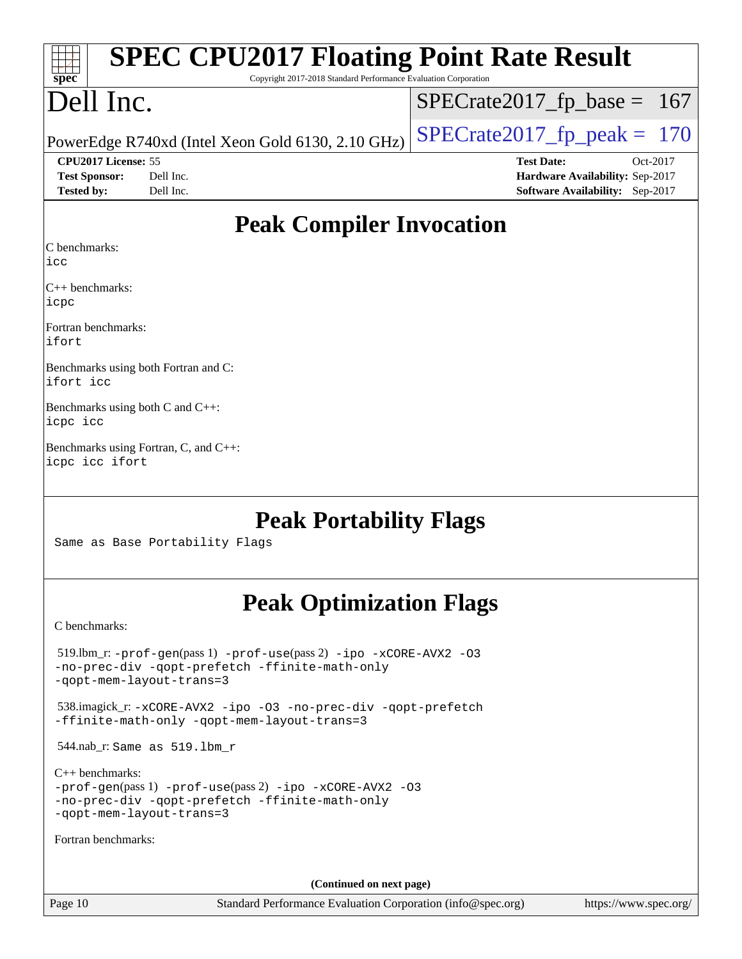| <b>SPEC CPU2017 Floating Point Rate Result</b><br>Spec<br>Copyright 2017-2018 Standard Performance Evaluation Corporation |                                        |  |  |  |  |
|---------------------------------------------------------------------------------------------------------------------------|----------------------------------------|--|--|--|--|
| Dell Inc.                                                                                                                 | $SPECrate2017_fp\_base = 167$          |  |  |  |  |
| PowerEdge R740xd (Intel Xeon Gold 6130, 2.10 GHz)                                                                         | $SPECrate2017_fp\_peak = 170$          |  |  |  |  |
| CPU2017 License: 55                                                                                                       | <b>Test Date:</b><br>Oct-2017          |  |  |  |  |
| <b>Test Sponsor:</b><br>Dell Inc.                                                                                         | Hardware Availability: Sep-2017        |  |  |  |  |
| <b>Tested by:</b><br>Dell Inc.                                                                                            | <b>Software Availability:</b> Sep-2017 |  |  |  |  |
| <b>Peak Compiler Invocation</b><br>C benchmarks:<br>icc<br>C++ benchmarks:<br>icpc<br>Fortran benchmarks:                 |                                        |  |  |  |  |
| ifort<br>Benchmarks using both Fortran and C:<br>ifort icc                                                                |                                        |  |  |  |  |
| Benchmarks using both C and C++:<br>icpc icc                                                                              |                                        |  |  |  |  |
| Benchmarks using Fortran, C, and C++:<br>icpc icc ifort                                                                   |                                        |  |  |  |  |

**[Peak Portability Flags](http://www.spec.org/auto/cpu2017/Docs/result-fields.html#PeakPortabilityFlags)**

Same as Base Portability Flags

# **[Peak Optimization Flags](http://www.spec.org/auto/cpu2017/Docs/result-fields.html#PeakOptimizationFlags)**

[C benchmarks](http://www.spec.org/auto/cpu2017/Docs/result-fields.html#Cbenchmarks):

 519.lbm\_r: [-prof-gen](http://www.spec.org/cpu2017/results/res2017q4/cpu2017-20171208-01422.flags.html#user_peakPASS1_CFLAGSPASS1_LDFLAGS519_lbm_r_prof_gen_5aa4926d6013ddb2a31985c654b3eb18169fc0c6952a63635c234f711e6e63dd76e94ad52365559451ec499a2cdb89e4dc58ba4c67ef54ca681ffbe1461d6b36)(pass 1) [-prof-use](http://www.spec.org/cpu2017/results/res2017q4/cpu2017-20171208-01422.flags.html#user_peakPASS2_CFLAGSPASS2_LDFLAGS519_lbm_r_prof_use_1a21ceae95f36a2b53c25747139a6c16ca95bd9def2a207b4f0849963b97e94f5260e30a0c64f4bb623698870e679ca08317ef8150905d41bd88c6f78df73f19)(pass 2) [-ipo](http://www.spec.org/cpu2017/results/res2017q4/cpu2017-20171208-01422.flags.html#user_peakPASS1_COPTIMIZEPASS2_COPTIMIZE519_lbm_r_f-ipo) [-xCORE-AVX2](http://www.spec.org/cpu2017/results/res2017q4/cpu2017-20171208-01422.flags.html#user_peakPASS2_COPTIMIZE519_lbm_r_f-xCORE-AVX2) [-O3](http://www.spec.org/cpu2017/results/res2017q4/cpu2017-20171208-01422.flags.html#user_peakPASS1_COPTIMIZEPASS2_COPTIMIZE519_lbm_r_f-O3) [-no-prec-div](http://www.spec.org/cpu2017/results/res2017q4/cpu2017-20171208-01422.flags.html#user_peakPASS1_COPTIMIZEPASS2_COPTIMIZE519_lbm_r_f-no-prec-div) [-qopt-prefetch](http://www.spec.org/cpu2017/results/res2017q4/cpu2017-20171208-01422.flags.html#user_peakPASS1_COPTIMIZEPASS2_COPTIMIZE519_lbm_r_f-qopt-prefetch) [-ffinite-math-only](http://www.spec.org/cpu2017/results/res2017q4/cpu2017-20171208-01422.flags.html#user_peakPASS1_COPTIMIZEPASS2_COPTIMIZE519_lbm_r_f_finite_math_only_cb91587bd2077682c4b38af759c288ed7c732db004271a9512da14a4f8007909a5f1427ecbf1a0fb78ff2a814402c6114ac565ca162485bbcae155b5e4258871) [-qopt-mem-layout-trans=3](http://www.spec.org/cpu2017/results/res2017q4/cpu2017-20171208-01422.flags.html#user_peakPASS1_COPTIMIZEPASS2_COPTIMIZE519_lbm_r_f-qopt-mem-layout-trans_de80db37974c74b1f0e20d883f0b675c88c3b01e9d123adea9b28688d64333345fb62bc4a798493513fdb68f60282f9a726aa07f478b2f7113531aecce732043) 538.imagick\_r: [-xCORE-AVX2](http://www.spec.org/cpu2017/results/res2017q4/cpu2017-20171208-01422.flags.html#user_peakCOPTIMIZE538_imagick_r_f-xCORE-AVX2) [-ipo](http://www.spec.org/cpu2017/results/res2017q4/cpu2017-20171208-01422.flags.html#user_peakCOPTIMIZE538_imagick_r_f-ipo) [-O3](http://www.spec.org/cpu2017/results/res2017q4/cpu2017-20171208-01422.flags.html#user_peakCOPTIMIZE538_imagick_r_f-O3) [-no-prec-div](http://www.spec.org/cpu2017/results/res2017q4/cpu2017-20171208-01422.flags.html#user_peakCOPTIMIZE538_imagick_r_f-no-prec-div) [-qopt-prefetch](http://www.spec.org/cpu2017/results/res2017q4/cpu2017-20171208-01422.flags.html#user_peakCOPTIMIZE538_imagick_r_f-qopt-prefetch) [-ffinite-math-only](http://www.spec.org/cpu2017/results/res2017q4/cpu2017-20171208-01422.flags.html#user_peakCOPTIMIZE538_imagick_r_f_finite_math_only_cb91587bd2077682c4b38af759c288ed7c732db004271a9512da14a4f8007909a5f1427ecbf1a0fb78ff2a814402c6114ac565ca162485bbcae155b5e4258871) [-qopt-mem-layout-trans=3](http://www.spec.org/cpu2017/results/res2017q4/cpu2017-20171208-01422.flags.html#user_peakCOPTIMIZE538_imagick_r_f-qopt-mem-layout-trans_de80db37974c74b1f0e20d883f0b675c88c3b01e9d123adea9b28688d64333345fb62bc4a798493513fdb68f60282f9a726aa07f478b2f7113531aecce732043) 544.nab\_r: Same as 519.lbm\_r [C++ benchmarks:](http://www.spec.org/auto/cpu2017/Docs/result-fields.html#CXXbenchmarks) [-prof-gen](http://www.spec.org/cpu2017/results/res2017q4/cpu2017-20171208-01422.flags.html#user_CXXpeak_prof_gen_5aa4926d6013ddb2a31985c654b3eb18169fc0c6952a63635c234f711e6e63dd76e94ad52365559451ec499a2cdb89e4dc58ba4c67ef54ca681ffbe1461d6b36)(pass 1) [-prof-use](http://www.spec.org/cpu2017/results/res2017q4/cpu2017-20171208-01422.flags.html#user_CXXpeak_prof_use_1a21ceae95f36a2b53c25747139a6c16ca95bd9def2a207b4f0849963b97e94f5260e30a0c64f4bb623698870e679ca08317ef8150905d41bd88c6f78df73f19)(pass 2) [-ipo](http://www.spec.org/cpu2017/results/res2017q4/cpu2017-20171208-01422.flags.html#user_CXXpeak_f-ipo) [-xCORE-AVX2](http://www.spec.org/cpu2017/results/res2017q4/cpu2017-20171208-01422.flags.html#user_CXXpeak_f-xCORE-AVX2) [-O3](http://www.spec.org/cpu2017/results/res2017q4/cpu2017-20171208-01422.flags.html#user_CXXpeak_f-O3) [-no-prec-div](http://www.spec.org/cpu2017/results/res2017q4/cpu2017-20171208-01422.flags.html#user_CXXpeak_f-no-prec-div) [-qopt-prefetch](http://www.spec.org/cpu2017/results/res2017q4/cpu2017-20171208-01422.flags.html#user_CXXpeak_f-qopt-prefetch) [-ffinite-math-only](http://www.spec.org/cpu2017/results/res2017q4/cpu2017-20171208-01422.flags.html#user_CXXpeak_f_finite_math_only_cb91587bd2077682c4b38af759c288ed7c732db004271a9512da14a4f8007909a5f1427ecbf1a0fb78ff2a814402c6114ac565ca162485bbcae155b5e4258871) [-qopt-mem-layout-trans=3](http://www.spec.org/cpu2017/results/res2017q4/cpu2017-20171208-01422.flags.html#user_CXXpeak_f-qopt-mem-layout-trans_de80db37974c74b1f0e20d883f0b675c88c3b01e9d123adea9b28688d64333345fb62bc4a798493513fdb68f60282f9a726aa07f478b2f7113531aecce732043) [Fortran benchmarks](http://www.spec.org/auto/cpu2017/Docs/result-fields.html#Fortranbenchmarks): **(Continued on next page)**

Page 10 Standard Performance Evaluation Corporation [\(info@spec.org\)](mailto:info@spec.org) <https://www.spec.org/>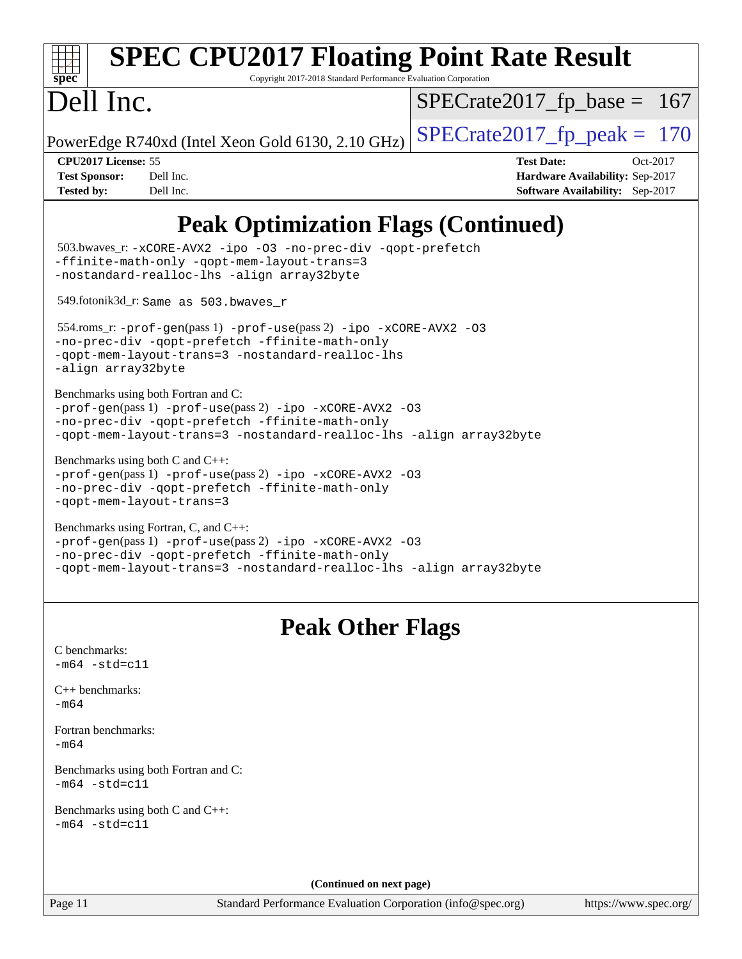| $spec^*$                                                         | <b>SPEC CPU2017 Floating Point Rate Result</b><br>Copyright 2017-2018 Standard Performance Evaluation Corporation                                                                                                          |                               |                                                                                |
|------------------------------------------------------------------|----------------------------------------------------------------------------------------------------------------------------------------------------------------------------------------------------------------------------|-------------------------------|--------------------------------------------------------------------------------|
| Dell Inc.                                                        |                                                                                                                                                                                                                            | $SPECrate2017_fp\_base = 167$ |                                                                                |
|                                                                  | PowerEdge R740xd (Intel Xeon Gold 6130, 2.10 GHz)                                                                                                                                                                          | $SPECrate2017_fp\_peak = 170$ |                                                                                |
| CPU2017 License: 55<br><b>Test Sponsor:</b><br><b>Tested by:</b> | Dell Inc.<br>Dell Inc.                                                                                                                                                                                                     | <b>Test Date:</b>             | Oct-2017<br>Hardware Availability: Sep-2017<br>Software Availability: Sep-2017 |
|                                                                  | <b>Peak Optimization Flags (Continued)</b>                                                                                                                                                                                 |                               |                                                                                |
|                                                                  | 503.bwaves_r: -xCORE-AVX2 -ipo -03 -no-prec-div -qopt-prefetch<br>-ffinite-math-only -qopt-mem-layout-trans=3<br>-nostandard-realloc-lhs -align array32byte                                                                |                               |                                                                                |
|                                                                  | 549.fotonik3d_r: Same as 503.bwaves_r                                                                                                                                                                                      |                               |                                                                                |
| -align array32byte                                               | 554.roms_r:-prof-gen(pass 1) -prof-use(pass 2) -ipo -xCORE-AVX2 -03<br>-no-prec-div -qopt-prefetch -ffinite-math-only<br>-qopt-mem-layout-trans=3 -nostandard-realloc-lhs                                                  |                               |                                                                                |
|                                                                  | Benchmarks using both Fortran and C:<br>-prof-gen(pass 1) -prof-use(pass 2) -ipo -xCORE-AVX2 -03<br>-no-prec-div -qopt-prefetch -ffinite-math-only<br>-qopt-mem-layout-trans=3 -nostandard-realloc-lhs -align array32byte  |                               |                                                                                |
|                                                                  | Benchmarks using both C and C++:<br>-prof-gen(pass 1) -prof-use(pass 2) -ipo -xCORE-AVX2 -03<br>-no-prec-div -qopt-prefetch -ffinite-math-only<br>-gopt-mem-layout-trans=3                                                 |                               |                                                                                |
|                                                                  | Benchmarks using Fortran, C, and C++:<br>-prof-gen(pass 1) -prof-use(pass 2) -ipo -xCORE-AVX2 -03<br>-no-prec-div -qopt-prefetch -ffinite-math-only<br>-qopt-mem-layout-trans=3 -nostandard-realloc-lhs -align array32byte |                               |                                                                                |
|                                                                  | <b>Peak Other Flags</b>                                                                                                                                                                                                    |                               |                                                                                |
| C benchmarks:<br>$-m64 - std= c11$                               |                                                                                                                                                                                                                            |                               |                                                                                |
| $C_{++}$ benchmarks:<br>$-m64$                                   |                                                                                                                                                                                                                            |                               |                                                                                |
| Fortran benchmarks:<br>$-m64$                                    |                                                                                                                                                                                                                            |                               |                                                                                |
| $-m64 - std= c11$                                                | Benchmarks using both Fortran and C:                                                                                                                                                                                       |                               |                                                                                |
| $-m64 - std= c11$                                                | Benchmarks using both C and C++:                                                                                                                                                                                           |                               |                                                                                |
|                                                                  | (Continued on next page)                                                                                                                                                                                                   |                               |                                                                                |
| Page 11                                                          | Standard Performance Evaluation Corporation (info@spec.org)                                                                                                                                                                |                               | https://www.spec.org/                                                          |